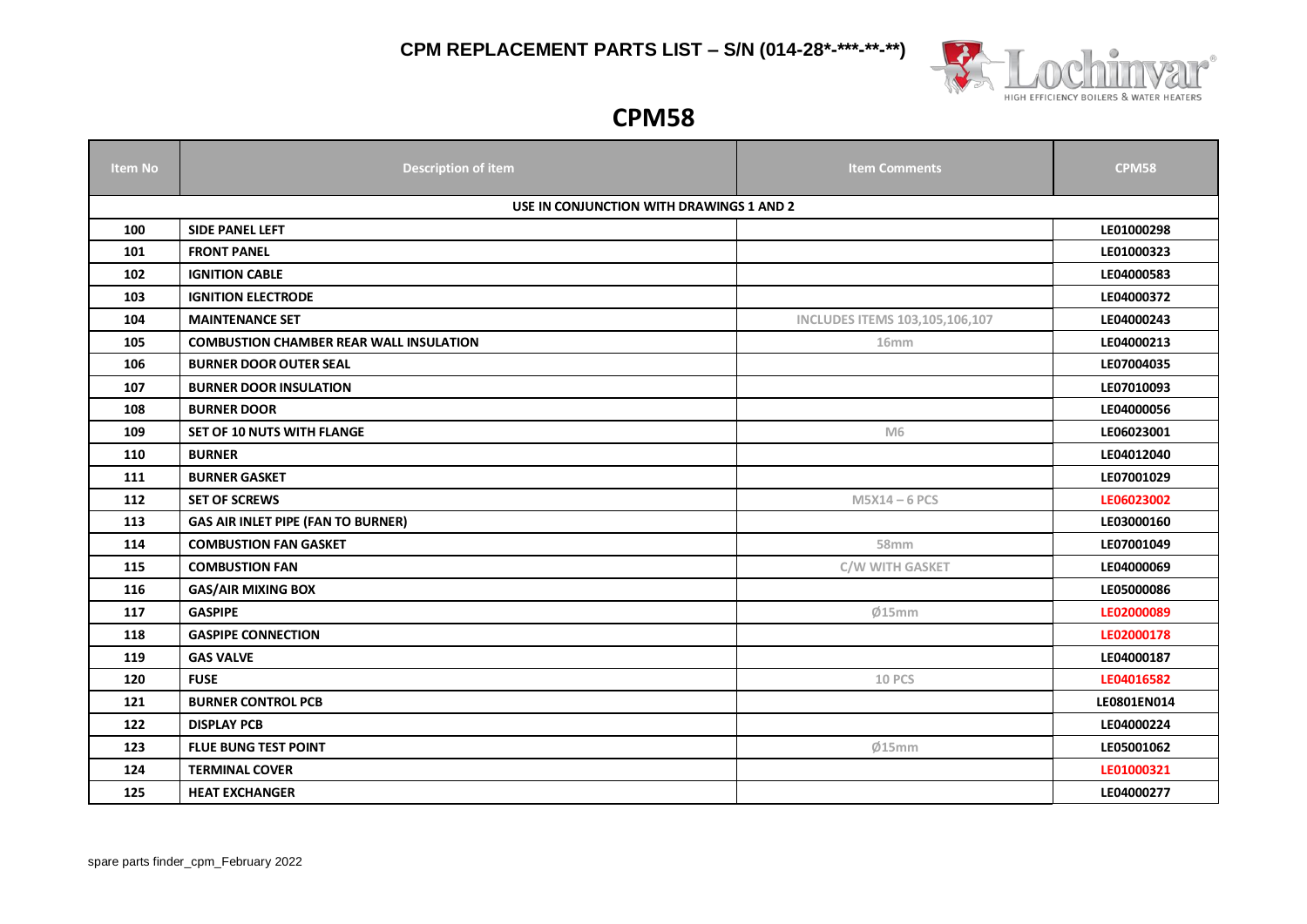

#### **CPM58**

| <b>Item No</b> | <b>Description of item</b>                     | <b>Item Comments</b>           | <b>CPM58</b> |  |  |  |
|----------------|------------------------------------------------|--------------------------------|--------------|--|--|--|
|                | USE IN CONJUNCTION WITH DRAWINGS 1 AND 2       |                                |              |  |  |  |
| 100            | SIDE PANEL LEFT                                |                                | LE01000298   |  |  |  |
| 101            | <b>FRONT PANEL</b>                             |                                | LE01000323   |  |  |  |
| 102            | <b>IGNITION CABLE</b>                          |                                | LE04000583   |  |  |  |
| 103            | <b>IGNITION ELECTRODE</b>                      |                                | LE04000372   |  |  |  |
| 104            | <b>MAINTENANCE SET</b>                         | INCLUDES ITEMS 103,105,106,107 | LE04000243   |  |  |  |
| 105            | <b>COMBUSTION CHAMBER REAR WALL INSULATION</b> | 16mm                           | LE04000213   |  |  |  |
| 106            | <b>BURNER DOOR OUTER SEAL</b>                  |                                | LE07004035   |  |  |  |
| 107            | <b>BURNER DOOR INSULATION</b>                  |                                | LE07010093   |  |  |  |
| 108            | <b>BURNER DOOR</b>                             |                                | LE04000056   |  |  |  |
| 109            | <b>SET OF 10 NUTS WITH FLANGE</b>              | M <sub>6</sub>                 | LE06023001   |  |  |  |
| 110            | <b>BURNER</b>                                  |                                | LE04012040   |  |  |  |
| 111            | <b>BURNER GASKET</b>                           |                                | LE07001029   |  |  |  |
| 112            | <b>SET OF SCREWS</b>                           | $M5X14 - 6$ PCS                | LE06023002   |  |  |  |
| 113            | <b>GAS AIR INLET PIPE (FAN TO BURNER)</b>      |                                | LE03000160   |  |  |  |
| 114            | <b>COMBUSTION FAN GASKET</b>                   | 58mm                           | LE07001049   |  |  |  |
| 115            | <b>COMBUSTION FAN</b>                          | C/W WITH GASKET                | LE04000069   |  |  |  |
| 116            | <b>GAS/AIR MIXING BOX</b>                      |                                | LE05000086   |  |  |  |
| 117            | <b>GASPIPE</b>                                 | Ø15mm                          | LE02000089   |  |  |  |
| 118            | <b>GASPIPE CONNECTION</b>                      |                                | LE02000178   |  |  |  |
| 119            | <b>GAS VALVE</b>                               |                                | LE04000187   |  |  |  |
| 120            | <b>FUSE</b>                                    | <b>10 PCS</b>                  | LE04016582   |  |  |  |
| 121            | <b>BURNER CONTROL PCB</b>                      |                                | LE0801EN014  |  |  |  |
| 122            | <b>DISPLAY PCB</b>                             |                                | LE04000224   |  |  |  |
| 123            | <b>FLUE BUNG TEST POINT</b>                    | Ø15mm                          | LE05001062   |  |  |  |
| 124            | <b>TERMINAL COVER</b>                          |                                | LE01000321   |  |  |  |
| 125            | <b>HEAT EXCHANGER</b>                          |                                | LE04000277   |  |  |  |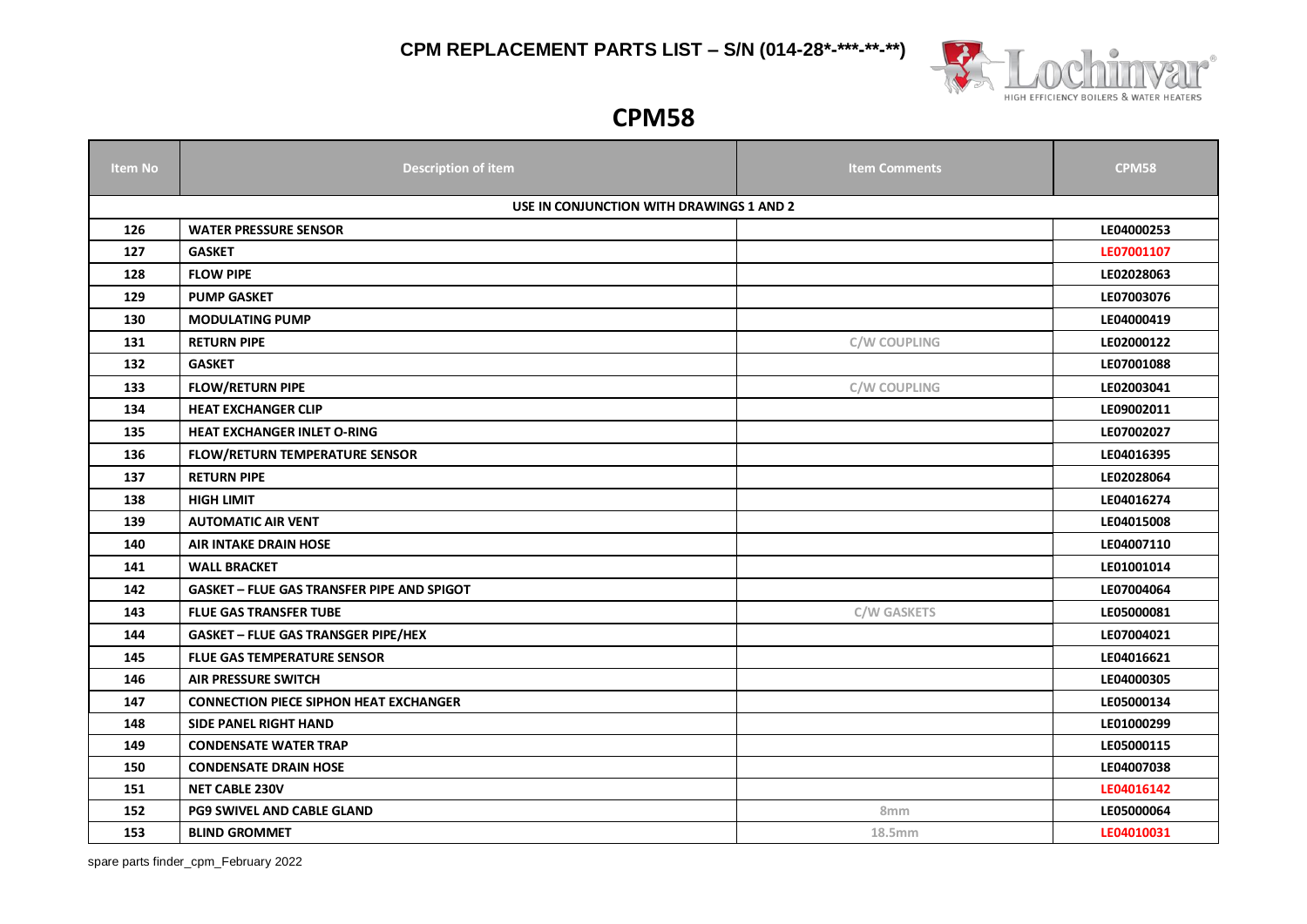

#### **CPM58**

| <b>Item No</b> | <b>Description of item</b>                        | <b>Item Comments</b> | <b>CPM58</b> |  |  |
|----------------|---------------------------------------------------|----------------------|--------------|--|--|
|                | USE IN CONJUNCTION WITH DRAWINGS 1 AND 2          |                      |              |  |  |
| 126            | <b>WATER PRESSURE SENSOR</b>                      |                      | LE04000253   |  |  |
| 127            | <b>GASKET</b>                                     |                      | LE07001107   |  |  |
| 128            | <b>FLOW PIPE</b>                                  |                      | LE02028063   |  |  |
| 129            | <b>PUMP GASKET</b>                                |                      | LE07003076   |  |  |
| 130            | <b>MODULATING PUMP</b>                            |                      | LE04000419   |  |  |
| 131            | <b>RETURN PIPE</b>                                | C/W COUPLING         | LE02000122   |  |  |
| 132            | <b>GASKET</b>                                     |                      | LE07001088   |  |  |
| 133            | <b>FLOW/RETURN PIPE</b>                           | <b>C/W COUPLING</b>  | LE02003041   |  |  |
| 134            | <b>HEAT EXCHANGER CLIP</b>                        |                      | LE09002011   |  |  |
| 135            | <b>HEAT EXCHANGER INLET O-RING</b>                |                      | LE07002027   |  |  |
| 136            | <b>FLOW/RETURN TEMPERATURE SENSOR</b>             |                      | LE04016395   |  |  |
| 137            | <b>RETURN PIPE</b>                                |                      | LE02028064   |  |  |
| 138            | <b>HIGH LIMIT</b>                                 |                      | LE04016274   |  |  |
| 139            | <b>AUTOMATIC AIR VENT</b>                         |                      | LE04015008   |  |  |
| 140            | <b>AIR INTAKE DRAIN HOSE</b>                      |                      | LE04007110   |  |  |
| 141            | <b>WALL BRACKET</b>                               |                      | LE01001014   |  |  |
| 142            | <b>GASKET - FLUE GAS TRANSFER PIPE AND SPIGOT</b> |                      | LE07004064   |  |  |
| 143            | <b>FLUE GAS TRANSFER TUBE</b>                     | <b>C/W GASKETS</b>   | LE05000081   |  |  |
| 144            | <b>GASKET - FLUE GAS TRANSGER PIPE/HEX</b>        |                      | LE07004021   |  |  |
| 145            | <b>FLUE GAS TEMPERATURE SENSOR</b>                |                      | LE04016621   |  |  |
| 146            | <b>AIR PRESSURE SWITCH</b>                        |                      | LE04000305   |  |  |
| 147            | <b>CONNECTION PIECE SIPHON HEAT EXCHANGER</b>     |                      | LE05000134   |  |  |
| 148            | <b>SIDE PANEL RIGHT HAND</b>                      |                      | LE01000299   |  |  |
| 149            | <b>CONDENSATE WATER TRAP</b>                      |                      | LE05000115   |  |  |
| 150            | <b>CONDENSATE DRAIN HOSE</b>                      |                      | LE04007038   |  |  |
| 151            | <b>NET CABLE 230V</b>                             |                      | LE04016142   |  |  |
| 152            | PG9 SWIVEL AND CABLE GLAND                        | 8 <sub>mm</sub>      | LE05000064   |  |  |
| 153            | <b>BLIND GROMMET</b>                              | 18.5mm               | LE04010031   |  |  |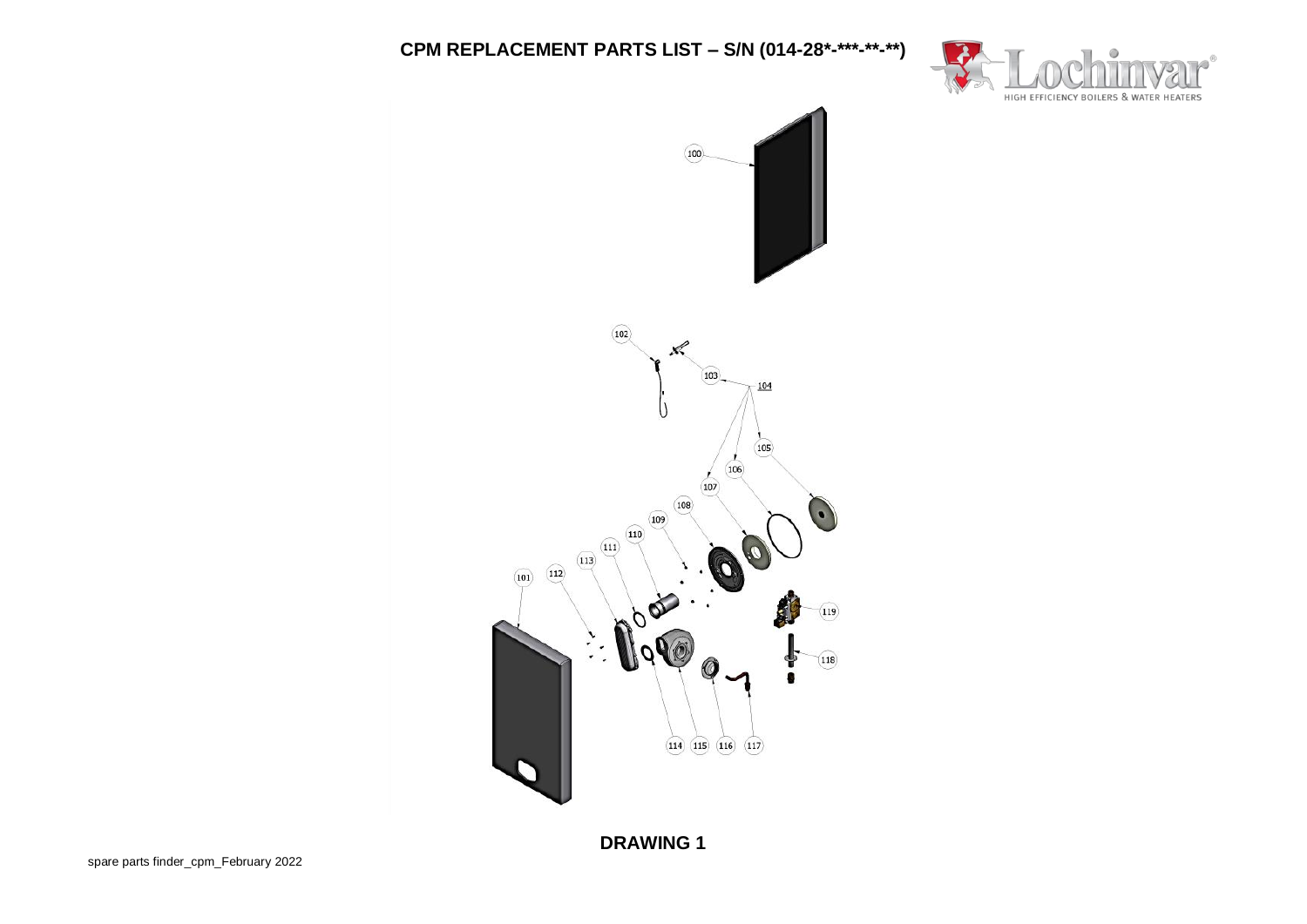

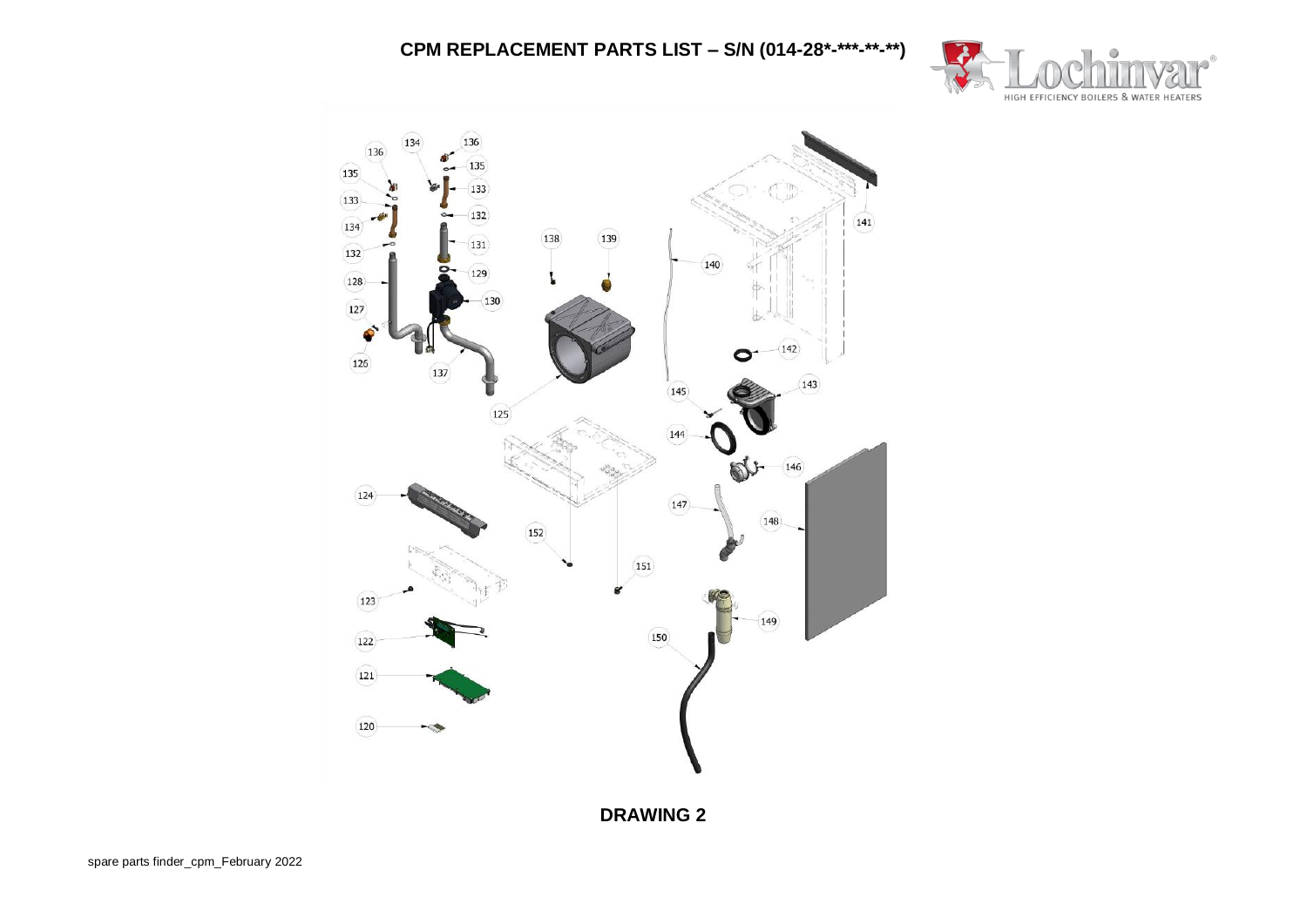

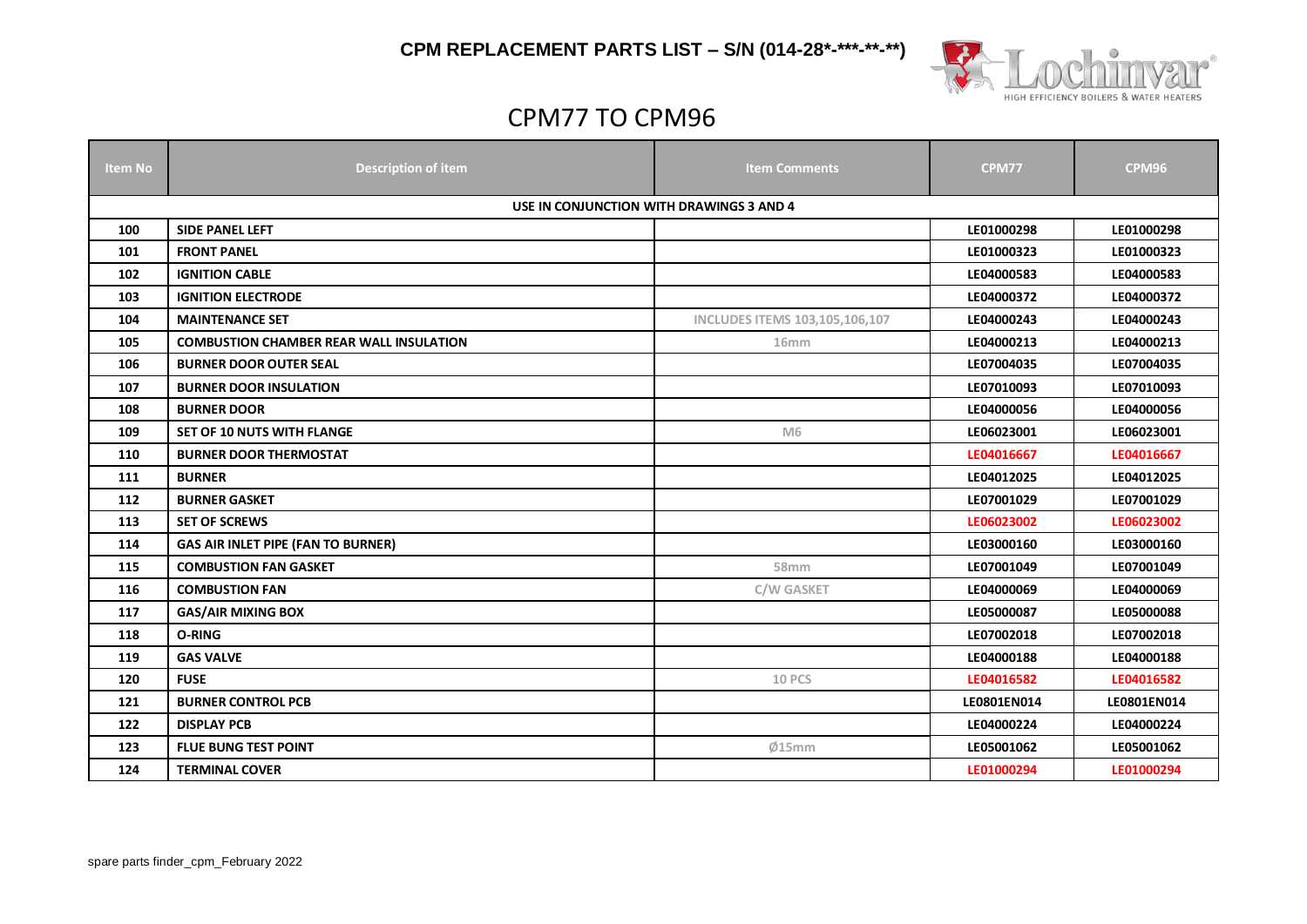

# CPM77 TO CPM96

| <b>Item No</b> | <b>Description of item</b>                      | <b>Item Comments</b>                  | <b>CPM77</b> | <b>CPM96</b> |
|----------------|-------------------------------------------------|---------------------------------------|--------------|--------------|
|                |                                                 |                                       |              |              |
|                | <b>USE IN CONJUNCTION WITH DRAWINGS 3 AND 4</b> |                                       |              |              |
| 100            | <b>SIDE PANEL LEFT</b>                          |                                       | LE01000298   | LE01000298   |
| 101            | <b>FRONT PANEL</b>                              |                                       | LE01000323   | LE01000323   |
| 102            | <b>IGNITION CABLE</b>                           |                                       | LE04000583   | LE04000583   |
| 103            | <b>IGNITION ELECTRODE</b>                       |                                       | LE04000372   | LE04000372   |
| 104            | <b>MAINTENANCE SET</b>                          | <b>INCLUDES ITEMS 103,105,106,107</b> | LE04000243   | LE04000243   |
| 105            | <b>COMBUSTION CHAMBER REAR WALL INSULATION</b>  | 16 <sub>mm</sub>                      | LE04000213   | LE04000213   |
| 106            | <b>BURNER DOOR OUTER SEAL</b>                   |                                       | LE07004035   | LE07004035   |
| 107            | <b>BURNER DOOR INSULATION</b>                   |                                       | LE07010093   | LE07010093   |
| 108            | <b>BURNER DOOR</b>                              |                                       | LE04000056   | LE04000056   |
| 109            | SET OF 10 NUTS WITH FLANGE                      | M <sub>6</sub>                        | LE06023001   | LE06023001   |
| 110            | <b>BURNER DOOR THERMOSTAT</b>                   |                                       | LE04016667   | LE04016667   |
| 111            | <b>BURNER</b>                                   |                                       | LE04012025   | LE04012025   |
| 112            | <b>BURNER GASKET</b>                            |                                       | LE07001029   | LE07001029   |
| 113            | <b>SET OF SCREWS</b>                            |                                       | LE06023002   | LE06023002   |
| 114            | GAS AIR INLET PIPE (FAN TO BURNER)              |                                       | LE03000160   | LE03000160   |
| 115            | <b>COMBUSTION FAN GASKET</b>                    | 58mm                                  | LE07001049   | LE07001049   |
| 116            | <b>COMBUSTION FAN</b>                           | <b>C/W GASKET</b>                     | LE04000069   | LE04000069   |
| 117            | <b>GAS/AIR MIXING BOX</b>                       |                                       | LE05000087   | LE05000088   |
| 118            | O-RING                                          |                                       | LE07002018   | LE07002018   |
| 119            | <b>GAS VALVE</b>                                |                                       | LE04000188   | LE04000188   |
| 120            | <b>FUSE</b>                                     | <b>10 PCS</b>                         | LE04016582   | LE04016582   |
| 121            | <b>BURNER CONTROL PCB</b>                       |                                       | LE0801EN014  | LE0801EN014  |
| 122            | <b>DISPLAY PCB</b>                              |                                       | LE04000224   | LE04000224   |
| 123            | <b>FLUE BUNG TEST POINT</b>                     | Ø15mm                                 | LE05001062   | LE05001062   |
| 124            | <b>TERMINAL COVER</b>                           |                                       | LE01000294   | LE01000294   |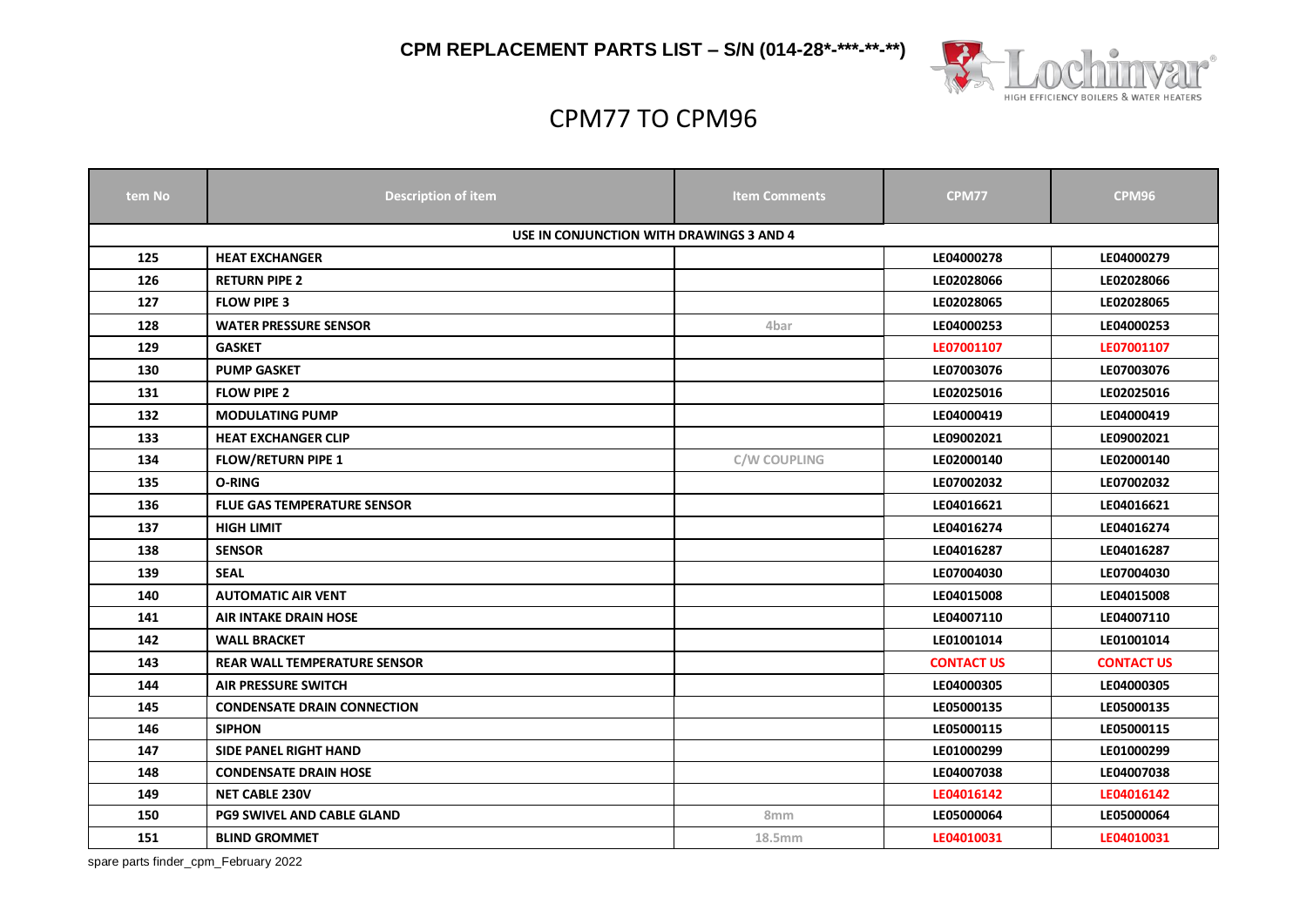

# CPM77 TO CPM96

| tem No | <b>Description of item</b>               | <b>Item Comments</b> | <b>CPM77</b>      | <b>CPM96</b>      |
|--------|------------------------------------------|----------------------|-------------------|-------------------|
|        | USE IN CONJUNCTION WITH DRAWINGS 3 AND 4 |                      |                   |                   |
| 125    | <b>HEAT EXCHANGER</b>                    |                      | LE04000278        | LE04000279        |
| 126    | <b>RETURN PIPE 2</b>                     |                      | LE02028066        | LE02028066        |
| 127    | <b>FLOW PIPE 3</b>                       |                      | LE02028065        | LE02028065        |
| 128    | <b>WATER PRESSURE SENSOR</b>             | 4bar                 | LE04000253        | LE04000253        |
| 129    | <b>GASKET</b>                            |                      | LE07001107        | LE07001107        |
| 130    | <b>PUMP GASKET</b>                       |                      | LE07003076        | LE07003076        |
| 131    | <b>FLOW PIPE 2</b>                       |                      | LE02025016        | LE02025016        |
| 132    | <b>MODULATING PUMP</b>                   |                      | LE04000419        | LE04000419        |
| 133    | <b>HEAT EXCHANGER CLIP</b>               |                      | LE09002021        | LE09002021        |
| 134    | <b>FLOW/RETURN PIPE 1</b>                | <b>C/W COUPLING</b>  | LE02000140        | LE02000140        |
| 135    | O-RING                                   |                      | LE07002032        | LE07002032        |
| 136    | <b>FLUE GAS TEMPERATURE SENSOR</b>       |                      | LE04016621        | LE04016621        |
| 137    | <b>HIGH LIMIT</b>                        |                      | LE04016274        | LE04016274        |
| 138    | <b>SENSOR</b>                            |                      | LE04016287        | LE04016287        |
| 139    | <b>SEAL</b>                              |                      | LE07004030        | LE07004030        |
| 140    | <b>AUTOMATIC AIR VENT</b>                |                      | LE04015008        | LE04015008        |
| 141    | <b>AIR INTAKE DRAIN HOSE</b>             |                      | LE04007110        | LE04007110        |
| 142    | <b>WALL BRACKET</b>                      |                      | LE01001014        | LE01001014        |
| 143    | <b>REAR WALL TEMPERATURE SENSOR</b>      |                      | <b>CONTACT US</b> | <b>CONTACT US</b> |
| 144    | <b>AIR PRESSURE SWITCH</b>               |                      | LE04000305        | LE04000305        |
| 145    | <b>CONDENSATE DRAIN CONNECTION</b>       |                      | LE05000135        | LE05000135        |
| 146    | <b>SIPHON</b>                            |                      | LE05000115        | LE05000115        |
| 147    | <b>SIDE PANEL RIGHT HAND</b>             |                      | LE01000299        | LE01000299        |
| 148    | <b>CONDENSATE DRAIN HOSE</b>             |                      | LE04007038        | LE04007038        |
| 149    | <b>NET CABLE 230V</b>                    |                      | LE04016142        | LE04016142        |
| 150    | <b>PG9 SWIVEL AND CABLE GLAND</b>        | 8 <sub>mm</sub>      | LE05000064        | LE05000064        |
| 151    | <b>BLIND GROMMET</b>                     | 18.5mm               | LE04010031        | LE04010031        |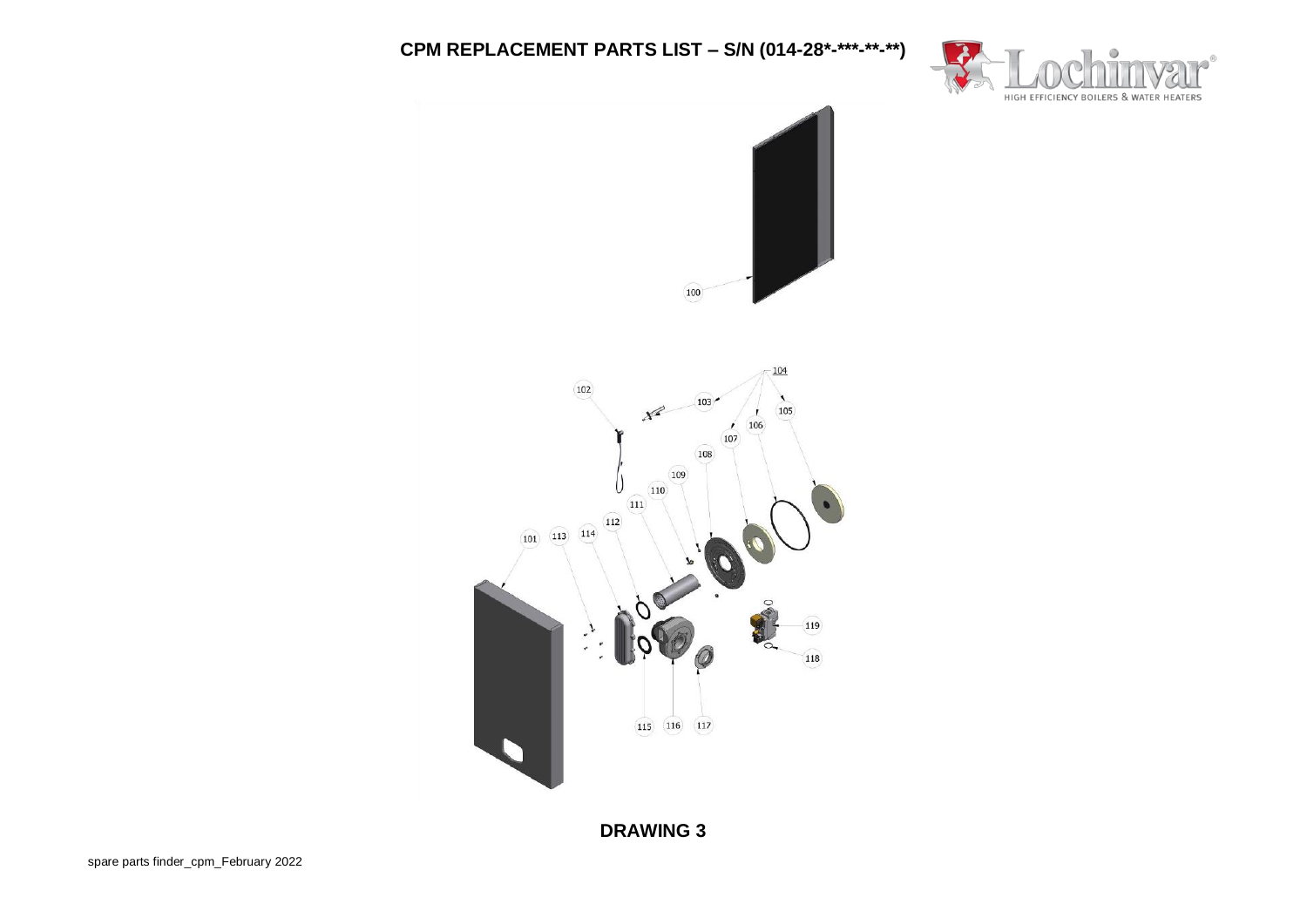

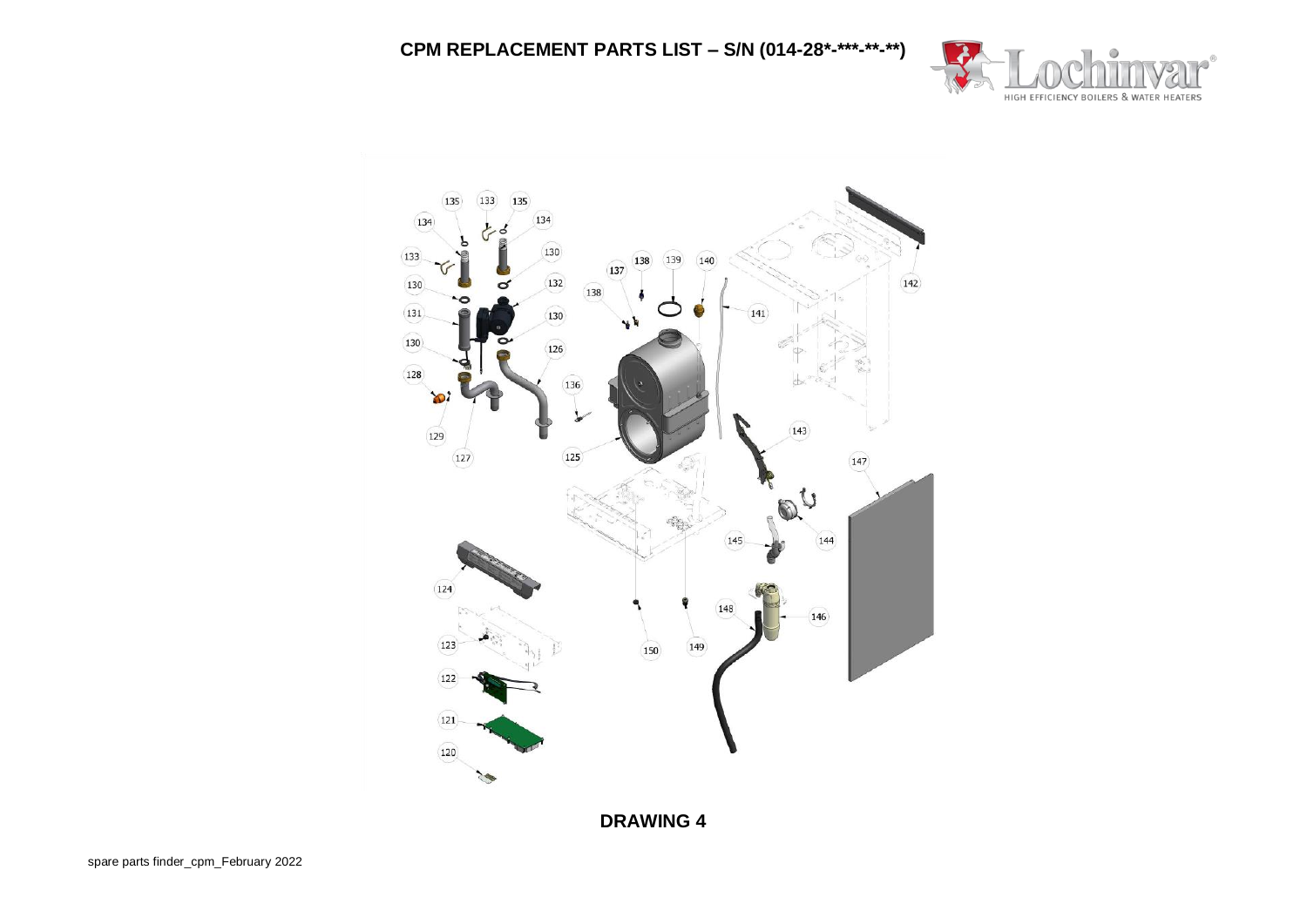

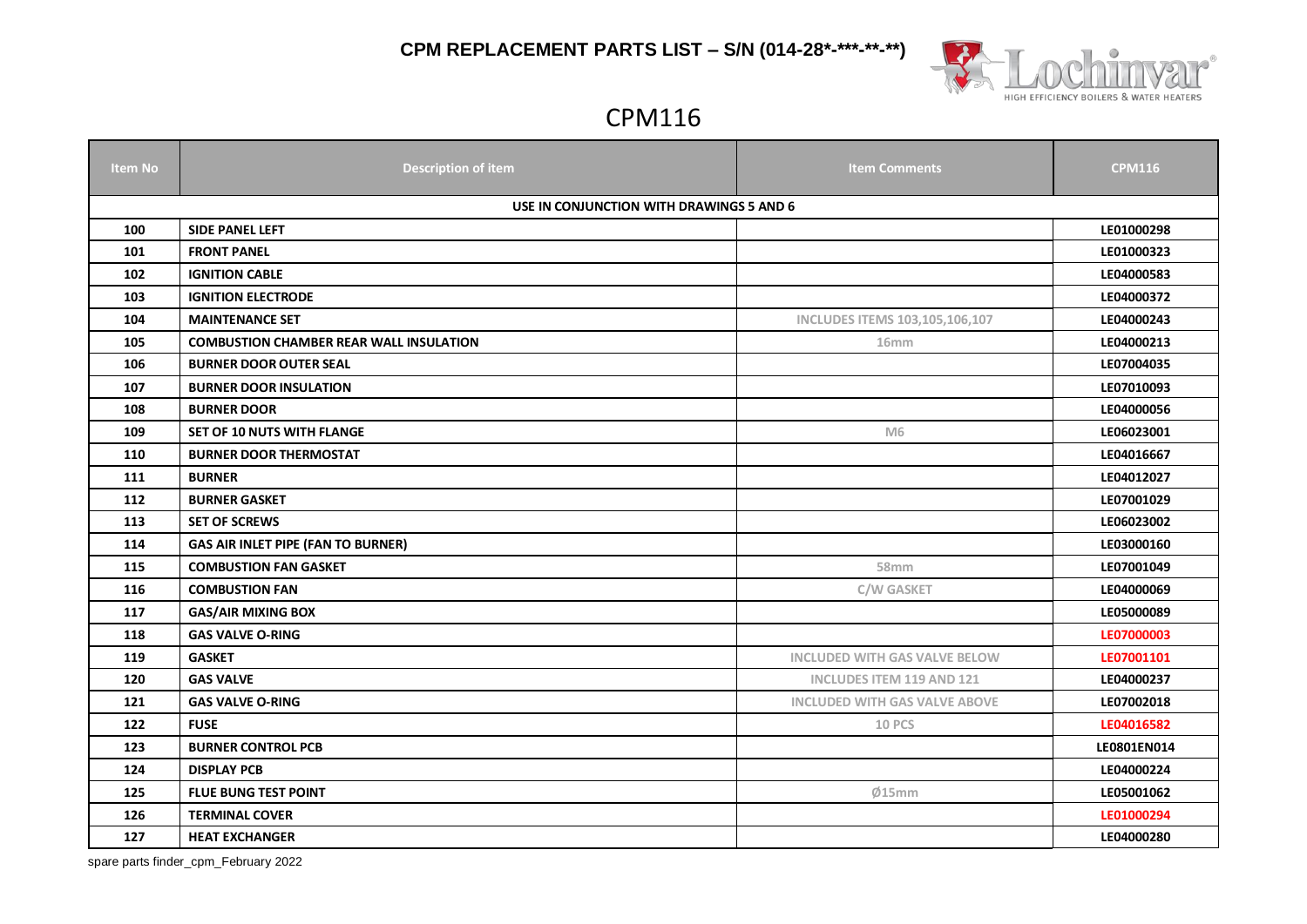

### CPM116

| <b>Item No</b> | <b>Description of item</b>                     | <b>Item Comments</b>                 | <b>CPM116</b> |  |  |  |
|----------------|------------------------------------------------|--------------------------------------|---------------|--|--|--|
|                | USE IN CONJUNCTION WITH DRAWINGS 5 AND 6       |                                      |               |  |  |  |
| 100            | SIDE PANEL LEFT                                |                                      | LE01000298    |  |  |  |
| 101            | <b>FRONT PANEL</b>                             |                                      | LE01000323    |  |  |  |
| 102            | <b>IGNITION CABLE</b>                          |                                      | LE04000583    |  |  |  |
| 103            | <b>IGNITION ELECTRODE</b>                      |                                      | LE04000372    |  |  |  |
| 104            | <b>MAINTENANCE SET</b>                         | INCLUDES ITEMS 103,105,106,107       | LE04000243    |  |  |  |
| 105            | <b>COMBUSTION CHAMBER REAR WALL INSULATION</b> | 16 <sub>mm</sub>                     | LE04000213    |  |  |  |
| 106            | <b>BURNER DOOR OUTER SEAL</b>                  |                                      | LE07004035    |  |  |  |
| 107            | <b>BURNER DOOR INSULATION</b>                  |                                      | LE07010093    |  |  |  |
| 108            | <b>BURNER DOOR</b>                             |                                      | LE04000056    |  |  |  |
| 109            | <b>SET OF 10 NUTS WITH FLANGE</b>              | M <sub>6</sub>                       | LE06023001    |  |  |  |
| 110            | <b>BURNER DOOR THERMOSTAT</b>                  |                                      | LE04016667    |  |  |  |
| 111            | <b>BURNER</b>                                  |                                      | LE04012027    |  |  |  |
| 112            | <b>BURNER GASKET</b>                           |                                      | LE07001029    |  |  |  |
| 113            | <b>SET OF SCREWS</b>                           |                                      | LE06023002    |  |  |  |
| 114            | <b>GAS AIR INLET PIPE (FAN TO BURNER)</b>      |                                      | LE03000160    |  |  |  |
| 115            | <b>COMBUSTION FAN GASKET</b>                   | 58 <sub>mm</sub>                     | LE07001049    |  |  |  |
| 116            | <b>COMBUSTION FAN</b>                          | C/W GASKET                           | LE04000069    |  |  |  |
| 117            | <b>GAS/AIR MIXING BOX</b>                      |                                      | LE05000089    |  |  |  |
| 118            | <b>GAS VALVE O-RING</b>                        |                                      | LE07000003    |  |  |  |
| 119            | <b>GASKET</b>                                  | <b>INCLUDED WITH GAS VALVE BELOW</b> | LE07001101    |  |  |  |
| 120            | <b>GAS VALVE</b>                               | <b>INCLUDES ITEM 119 AND 121</b>     | LE04000237    |  |  |  |
| 121            | <b>GAS VALVE O-RING</b>                        | <b>INCLUDED WITH GAS VALVE ABOVE</b> | LE07002018    |  |  |  |
| 122            | <b>FUSE</b>                                    | <b>10 PCS</b>                        | LE04016582    |  |  |  |
| 123            | <b>BURNER CONTROL PCB</b>                      |                                      | LE0801EN014   |  |  |  |
| 124            | <b>DISPLAY PCB</b>                             |                                      | LE04000224    |  |  |  |
| 125            | <b>FLUE BUNG TEST POINT</b>                    | Ø15mm                                | LE05001062    |  |  |  |
| 126            | <b>TERMINAL COVER</b>                          |                                      | LE01000294    |  |  |  |
| 127            | <b>HEAT EXCHANGER</b>                          |                                      | LE04000280    |  |  |  |

spare parts finder\_cpm\_February 2022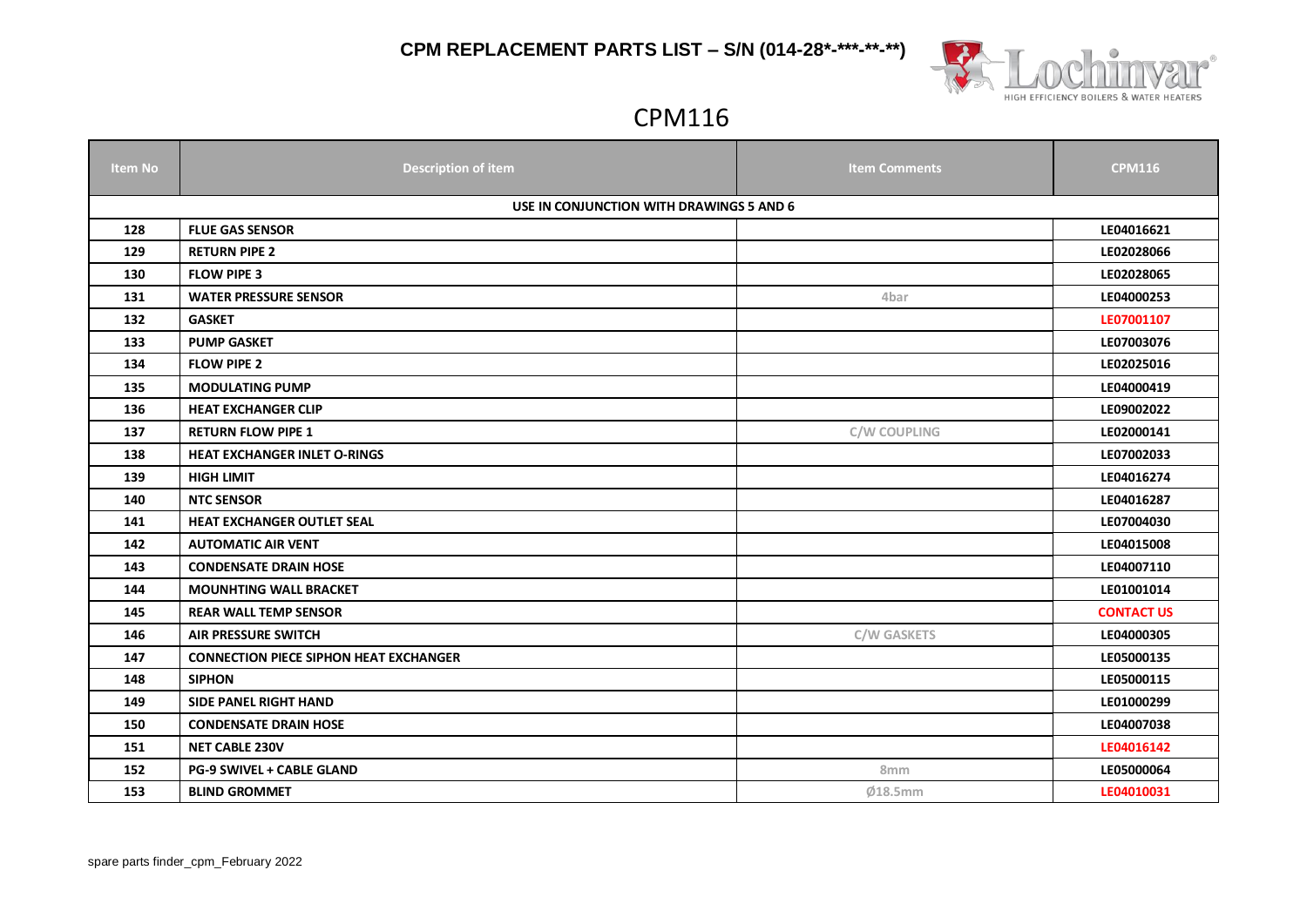

# CPM116

| <b>Item No</b> | <b>Description of item</b>                    | <b>Item Comments</b> | <b>CPM116</b>     |  |  |
|----------------|-----------------------------------------------|----------------------|-------------------|--|--|
|                | USE IN CONJUNCTION WITH DRAWINGS 5 AND 6      |                      |                   |  |  |
| 128            | <b>FLUE GAS SENSOR</b>                        |                      | LE04016621        |  |  |
| 129            | <b>RETURN PIPE 2</b>                          |                      | LE02028066        |  |  |
| 130            | <b>FLOW PIPE 3</b>                            |                      | LE02028065        |  |  |
| 131            | <b>WATER PRESSURE SENSOR</b>                  | 4bar                 | LE04000253        |  |  |
| 132            | <b>GASKET</b>                                 |                      | LE07001107        |  |  |
| 133            | <b>PUMP GASKET</b>                            |                      | LE07003076        |  |  |
| 134            | <b>FLOW PIPE 2</b>                            |                      | LE02025016        |  |  |
| 135            | <b>MODULATING PUMP</b>                        |                      | LE04000419        |  |  |
| 136            | <b>HEAT EXCHANGER CLIP</b>                    |                      | LE09002022        |  |  |
| 137            | <b>RETURN FLOW PIPE 1</b>                     | C/W COUPLING         | LE02000141        |  |  |
| 138            | <b>HEAT EXCHANGER INLET O-RINGS</b>           |                      | LE07002033        |  |  |
| 139            | <b>HIGH LIMIT</b>                             |                      | LE04016274        |  |  |
| 140            | <b>NTC SENSOR</b>                             |                      | LE04016287        |  |  |
| 141            | <b>HEAT EXCHANGER OUTLET SEAL</b>             |                      | LE07004030        |  |  |
| 142            | <b>AUTOMATIC AIR VENT</b>                     |                      | LE04015008        |  |  |
| 143            | <b>CONDENSATE DRAIN HOSE</b>                  |                      | LE04007110        |  |  |
| 144            | <b>MOUNHTING WALL BRACKET</b>                 |                      | LE01001014        |  |  |
| 145            | <b>REAR WALL TEMP SENSOR</b>                  |                      | <b>CONTACT US</b> |  |  |
| 146            | <b>AIR PRESSURE SWITCH</b>                    | C/W GASKETS          | LE04000305        |  |  |
| 147            | <b>CONNECTION PIECE SIPHON HEAT EXCHANGER</b> |                      | LE05000135        |  |  |
| 148            | <b>SIPHON</b>                                 |                      | LE05000115        |  |  |
| 149            | <b>SIDE PANEL RIGHT HAND</b>                  |                      | LE01000299        |  |  |
| 150            | <b>CONDENSATE DRAIN HOSE</b>                  |                      | LE04007038        |  |  |
| 151            | <b>NET CABLE 230V</b>                         |                      | LE04016142        |  |  |
| 152            | <b>PG-9 SWIVEL + CABLE GLAND</b>              | 8mm                  | LE05000064        |  |  |
| 153            | <b>BLIND GROMMET</b>                          | Ø18.5mm              | LE04010031        |  |  |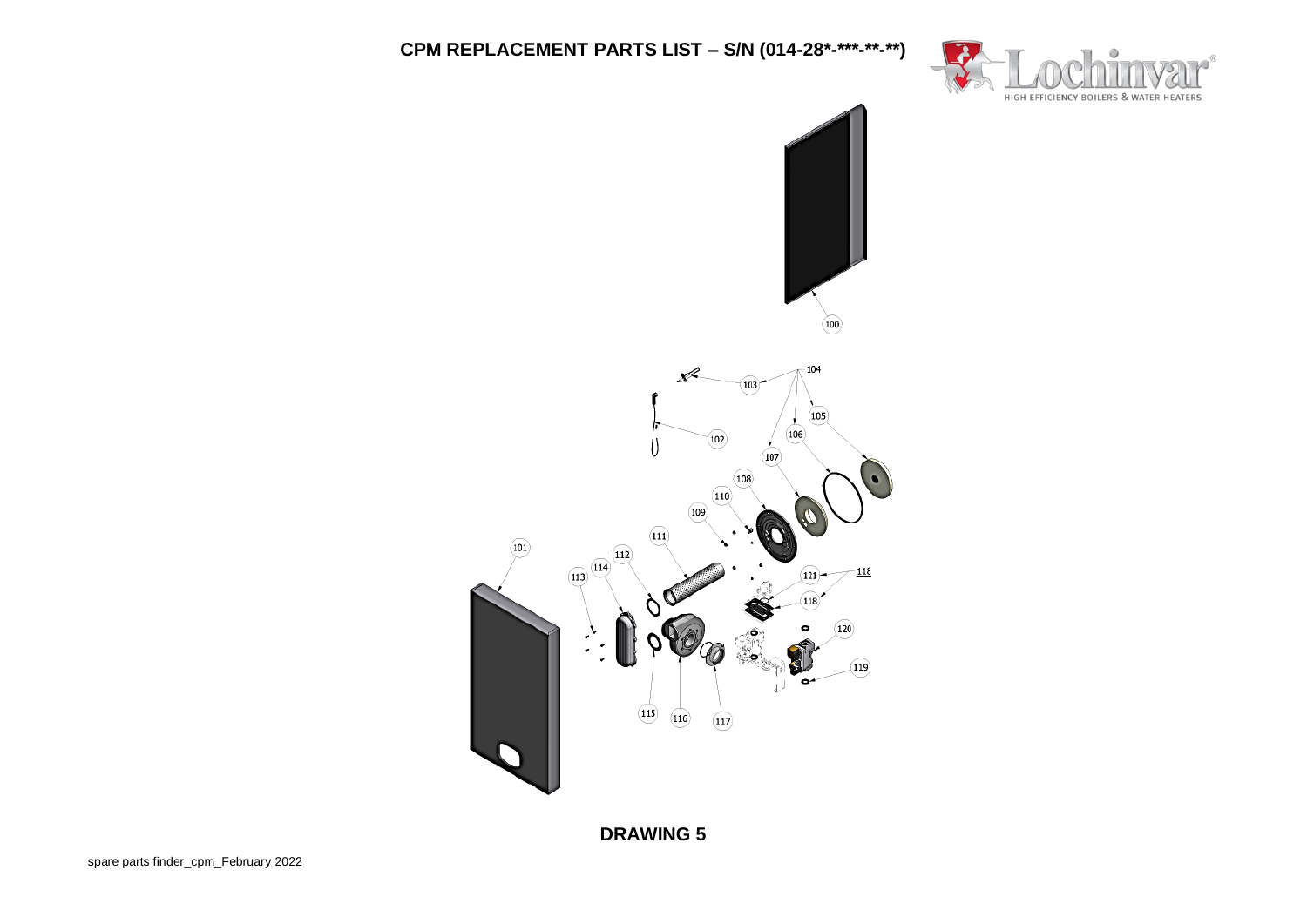

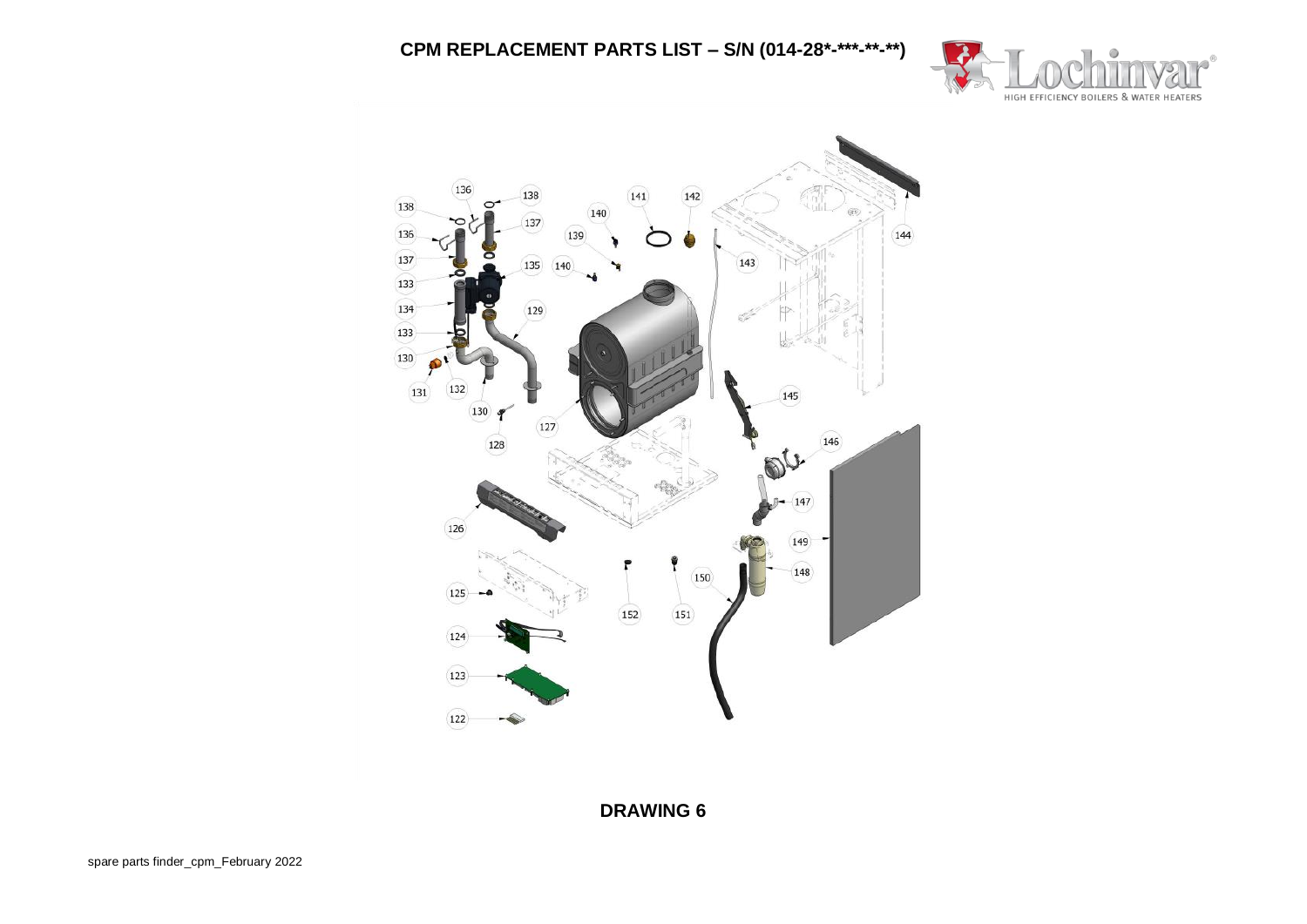

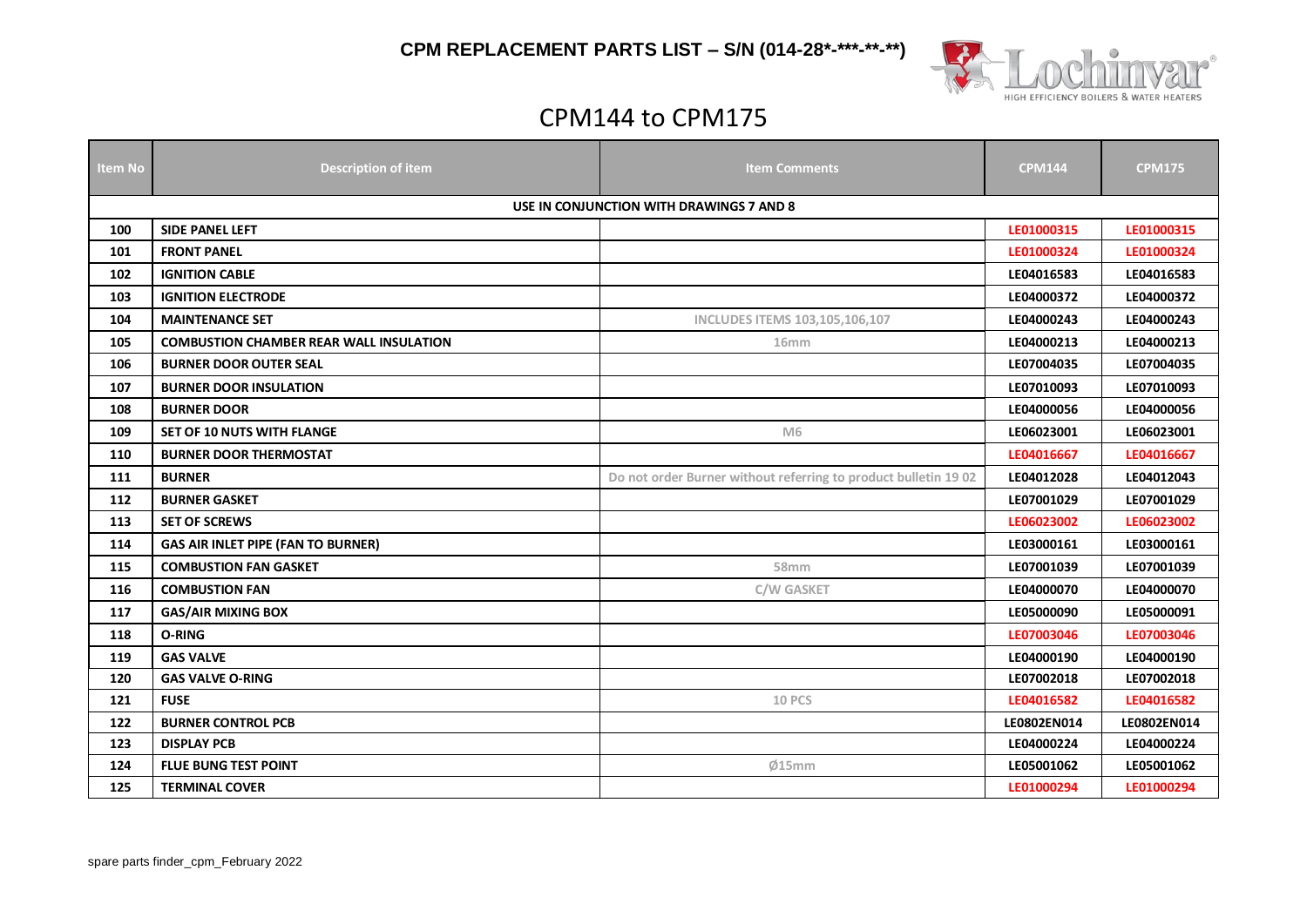



# CPM144 to CPM175

| <b>Item No</b> | <b>Description of item</b>                     | <b>Item Comments</b>                                            | <b>CPM144</b> | <b>CPM175</b> |  |
|----------------|------------------------------------------------|-----------------------------------------------------------------|---------------|---------------|--|
|                |                                                |                                                                 |               |               |  |
|                | USE IN CONJUNCTION WITH DRAWINGS 7 AND 8       |                                                                 |               |               |  |
| 100            | <b>SIDE PANEL LEFT</b>                         |                                                                 | LE01000315    | LE01000315    |  |
| 101            | <b>FRONT PANEL</b>                             |                                                                 | LE01000324    | LE01000324    |  |
| 102            | <b>IGNITION CABLE</b>                          |                                                                 | LE04016583    | LE04016583    |  |
| 103            | <b>IGNITION ELECTRODE</b>                      |                                                                 | LE04000372    | LE04000372    |  |
| 104            | <b>MAINTENANCE SET</b>                         | <b>INCLUDES ITEMS 103,105,106,107</b>                           | LE04000243    | LE04000243    |  |
| 105            | <b>COMBUSTION CHAMBER REAR WALL INSULATION</b> | 16 <sub>mm</sub>                                                | LE04000213    | LE04000213    |  |
| 106            | <b>BURNER DOOR OUTER SEAL</b>                  |                                                                 | LE07004035    | LE07004035    |  |
| 107            | <b>BURNER DOOR INSULATION</b>                  |                                                                 | LE07010093    | LE07010093    |  |
| 108            | <b>BURNER DOOR</b>                             |                                                                 | LE04000056    | LE04000056    |  |
| 109            | SET OF 10 NUTS WITH FLANGE                     | M <sub>6</sub>                                                  | LE06023001    | LE06023001    |  |
| 110            | <b>BURNER DOOR THERMOSTAT</b>                  |                                                                 | LE04016667    | LE04016667    |  |
| 111            | <b>BURNER</b>                                  | Do not order Burner without referring to product bulletin 19 02 | LE04012028    | LE04012043    |  |
| 112            | <b>BURNER GASKET</b>                           |                                                                 | LE07001029    | LE07001029    |  |
| 113            | <b>SET OF SCREWS</b>                           |                                                                 | LE06023002    | LE06023002    |  |
| 114            | <b>GAS AIR INLET PIPE (FAN TO BURNER)</b>      |                                                                 | LE03000161    | LE03000161    |  |
| 115            | <b>COMBUSTION FAN GASKET</b>                   | 58 <sub>mm</sub>                                                | LE07001039    | LE07001039    |  |
| 116            | <b>COMBUSTION FAN</b>                          | <b>C/W GASKET</b>                                               | LE04000070    | LE04000070    |  |
| 117            | <b>GAS/AIR MIXING BOX</b>                      |                                                                 | LE05000090    | LE05000091    |  |
| 118            | O-RING                                         |                                                                 | LE07003046    | LE07003046    |  |
| 119            | <b>GAS VALVE</b>                               |                                                                 | LE04000190    | LE04000190    |  |
| 120            | <b>GAS VALVE O-RING</b>                        |                                                                 | LE07002018    | LE07002018    |  |
| 121            | <b>FUSE</b>                                    | <b>10 PCS</b>                                                   | LE04016582    | LE04016582    |  |
| 122            | <b>BURNER CONTROL PCB</b>                      |                                                                 | LE0802EN014   | LE0802EN014   |  |
| 123            | <b>DISPLAY PCB</b>                             |                                                                 | LE04000224    | LE04000224    |  |
| 124            | <b>FLUE BUNG TEST POINT</b>                    | Ø15mm                                                           | LE05001062    | LE05001062    |  |
| 125            | <b>TERMINAL COVER</b>                          |                                                                 | LE01000294    | LE01000294    |  |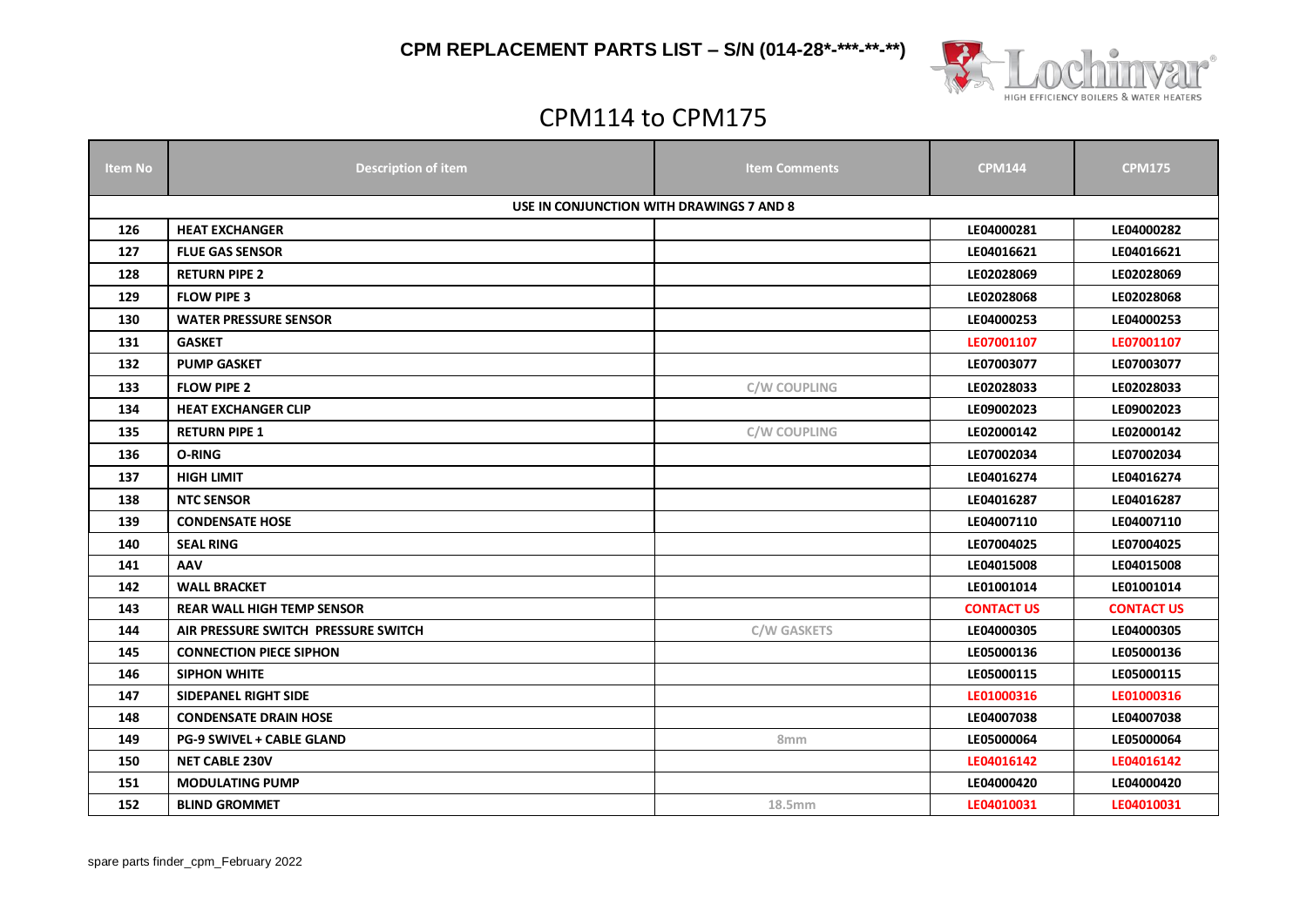



# CPM114 to CPM175

| ltem No                                  | <b>Description of item</b>                        | <b>Item Comments</b> | <b>CPM144</b>     | <b>CPM175</b>     |  |  |
|------------------------------------------|---------------------------------------------------|----------------------|-------------------|-------------------|--|--|
| USE IN CONJUNCTION WITH DRAWINGS 7 AND 8 |                                                   |                      |                   |                   |  |  |
| 126                                      | <b>HEAT EXCHANGER</b><br>LE04000281<br>LE04000282 |                      |                   |                   |  |  |
| 127                                      | <b>FLUE GAS SENSOR</b>                            |                      | LE04016621        | LE04016621        |  |  |
| 128                                      | <b>RETURN PIPE 2</b>                              |                      | LE02028069        | LE02028069        |  |  |
| 129                                      | <b>FLOW PIPE 3</b>                                |                      | LE02028068        | LE02028068        |  |  |
| 130                                      | <b>WATER PRESSURE SENSOR</b>                      |                      | LE04000253        | LE04000253        |  |  |
| 131                                      | <b>GASKET</b>                                     |                      | LE07001107        | LE07001107        |  |  |
| 132                                      | <b>PUMP GASKET</b>                                |                      | LE07003077        | LE07003077        |  |  |
| 133                                      | <b>FLOW PIPE 2</b>                                | <b>C/W COUPLING</b>  | LE02028033        | LE02028033        |  |  |
| 134                                      | <b>HEAT EXCHANGER CLIP</b>                        |                      | LE09002023        | LE09002023        |  |  |
| 135                                      | <b>RETURN PIPE 1</b>                              | <b>C/W COUPLING</b>  | LE02000142        | LE02000142        |  |  |
| 136                                      | O-RING                                            |                      | LE07002034        | LE07002034        |  |  |
| 137                                      | <b>HIGH LIMIT</b>                                 |                      | LE04016274        | LE04016274        |  |  |
| 138                                      | <b>NTC SENSOR</b>                                 |                      | LE04016287        | LE04016287        |  |  |
| 139                                      | <b>CONDENSATE HOSE</b>                            |                      | LE04007110        | LE04007110        |  |  |
| 140                                      | <b>SEAL RING</b>                                  |                      | LE07004025        | LE07004025        |  |  |
| 141                                      | AAV                                               |                      | LE04015008        | LE04015008        |  |  |
| 142                                      | <b>WALL BRACKET</b>                               |                      | LE01001014        | LE01001014        |  |  |
| 143                                      | <b>REAR WALL HIGH TEMP SENSOR</b>                 |                      | <b>CONTACT US</b> | <b>CONTACT US</b> |  |  |
| 144                                      | AIR PRESSURE SWITCH PRESSURE SWITCH               | <b>C/W GASKETS</b>   | LE04000305        | LE04000305        |  |  |
| 145                                      | <b>CONNECTION PIECE SIPHON</b>                    |                      | LE05000136        | LE05000136        |  |  |
| 146                                      | <b>SIPHON WHITE</b>                               |                      | LE05000115        | LE05000115        |  |  |
| 147                                      | <b>SIDEPANEL RIGHT SIDE</b>                       |                      | LE01000316        | LE01000316        |  |  |
| 148                                      | <b>CONDENSATE DRAIN HOSE</b>                      |                      | LE04007038        | LE04007038        |  |  |
| 149                                      | <b>PG-9 SWIVEL + CABLE GLAND</b>                  | 8 <sub>mm</sub>      | LE05000064        | LE05000064        |  |  |
| 150                                      | <b>NET CABLE 230V</b>                             |                      | LE04016142        | LE04016142        |  |  |
| 151                                      | <b>MODULATING PUMP</b>                            |                      | LE04000420        | LE04000420        |  |  |
| 152                                      | <b>BLIND GROMMET</b>                              | 18.5mm               | LE04010031        | LE04010031        |  |  |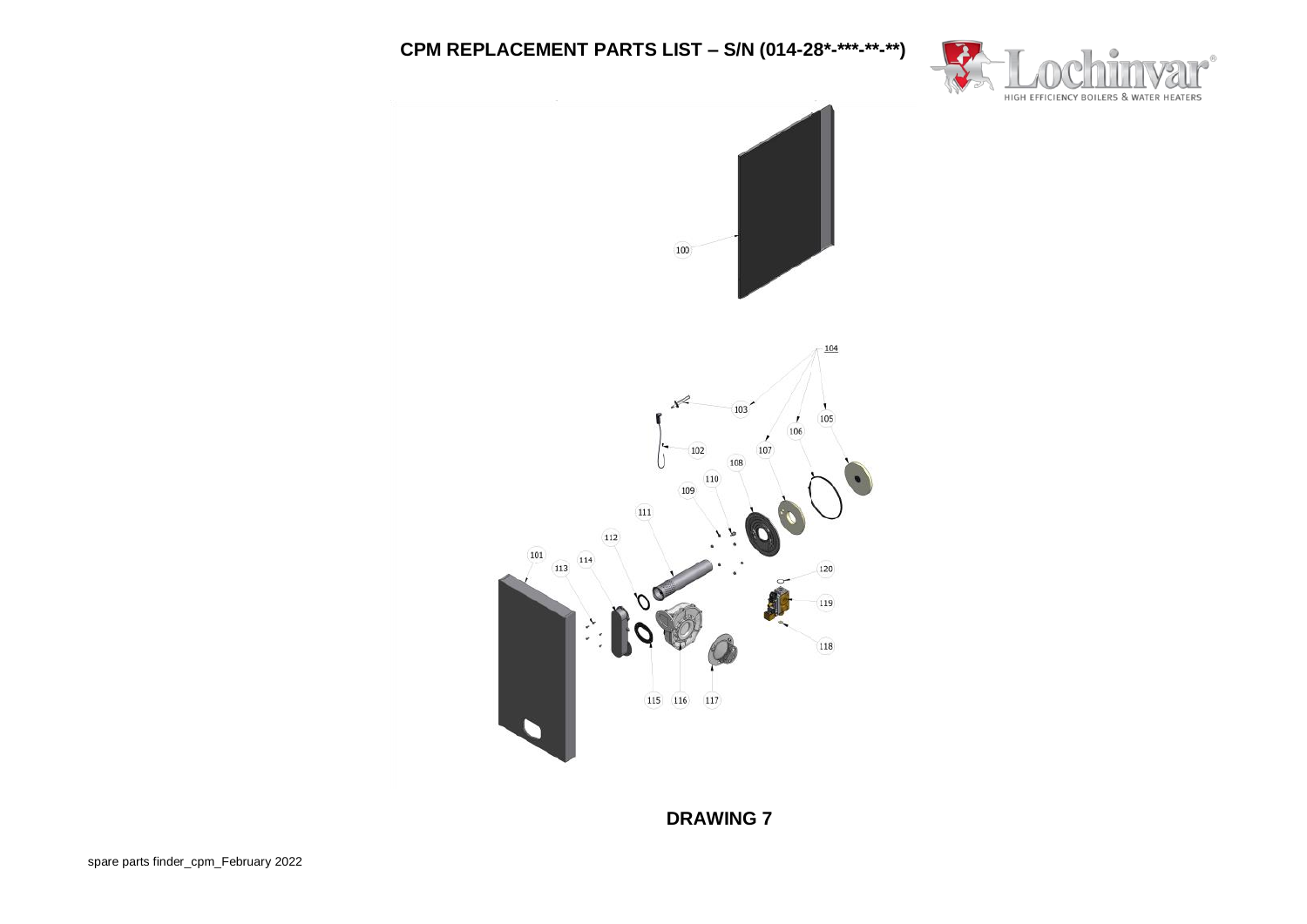